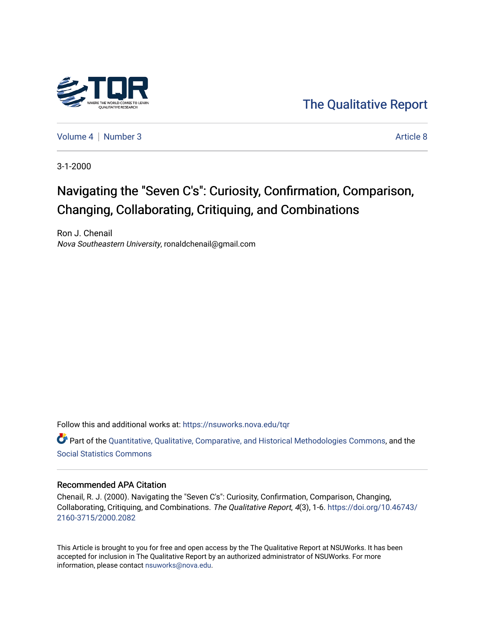

[The Qualitative Report](https://nsuworks.nova.edu/tqr) 

[Volume 4](https://nsuworks.nova.edu/tqr/vol4) | [Number 3](https://nsuworks.nova.edu/tqr/vol4/iss3) Article 8

3-1-2000

# Navigating the "Seven C's": Curiosity, Confirmation, Comparison, Changing, Collaborating, Critiquing, and Combinations

Ron J. Chenail Nova Southeastern University, ronaldchenail@gmail.com

Follow this and additional works at: [https://nsuworks.nova.edu/tqr](https://nsuworks.nova.edu/tqr?utm_source=nsuworks.nova.edu%2Ftqr%2Fvol4%2Fiss3%2F8&utm_medium=PDF&utm_campaign=PDFCoverPages) 

Part of the [Quantitative, Qualitative, Comparative, and Historical Methodologies Commons,](http://network.bepress.com/hgg/discipline/423?utm_source=nsuworks.nova.edu%2Ftqr%2Fvol4%2Fiss3%2F8&utm_medium=PDF&utm_campaign=PDFCoverPages) and the [Social Statistics Commons](http://network.bepress.com/hgg/discipline/1275?utm_source=nsuworks.nova.edu%2Ftqr%2Fvol4%2Fiss3%2F8&utm_medium=PDF&utm_campaign=PDFCoverPages) 

#### Recommended APA Citation

Chenail, R. J. (2000). Navigating the "Seven C's": Curiosity, Confirmation, Comparison, Changing, Collaborating, Critiquing, and Combinations. The Qualitative Report, 4(3), 1-6. [https://doi.org/10.46743/](https://doi.org/10.46743/2160-3715/2000.2082) [2160-3715/2000.2082](https://doi.org/10.46743/2160-3715/2000.2082)

This Article is brought to you for free and open access by the The Qualitative Report at NSUWorks. It has been accepted for inclusion in The Qualitative Report by an authorized administrator of NSUWorks. For more information, please contact [nsuworks@nova.edu.](mailto:nsuworks@nova.edu)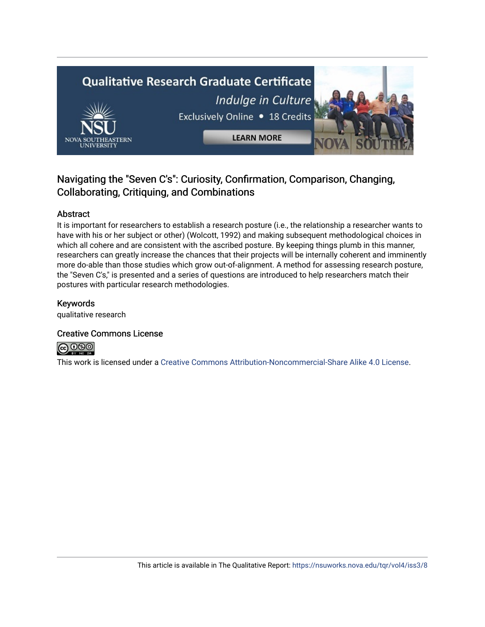

# Navigating the "Seven C's": Curiosity, Confirmation, Comparison, Changing, Collaborating, Critiquing, and Combinations

### Abstract

It is important for researchers to establish a research posture (i.e., the relationship a researcher wants to have with his or her subject or other) (Wolcott, 1992) and making subsequent methodological choices in which all cohere and are consistent with the ascribed posture. By keeping things plumb in this manner, researchers can greatly increase the chances that their projects will be internally coherent and imminently more do-able than those studies which grow out-of-alignment. A method for assessing research posture, the "Seven C's," is presented and a series of questions are introduced to help researchers match their postures with particular research methodologies.

### Keywords

qualitative research

### Creative Commons License



This work is licensed under a [Creative Commons Attribution-Noncommercial-Share Alike 4.0 License](https://creativecommons.org/licenses/by-nc-sa/4.0/).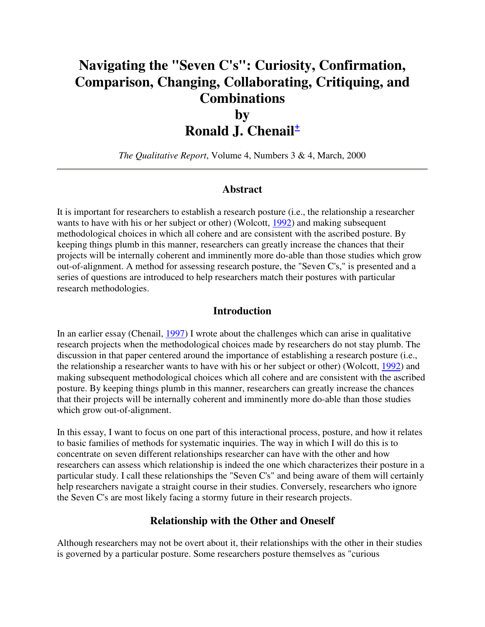# **Navigating the "Seven C's": Curiosity, Confirmation, Comparison, Changing, Collaborating, Critiquing, and Combinations**

# **by Ronald J. Chenail<sup>+</sup>**

*The Qualitative Report*, Volume 4, Numbers 3 & 4, March, 2000

## **Abstract**

It is important for researchers to establish a research posture (i.e., the relationship a researcher wants to have with his or her subject or other) (Wolcott, 1992) and making subsequent methodological choices in which all cohere and are consistent with the ascribed posture. By keeping things plumb in this manner, researchers can greatly increase the chances that their projects will be internally coherent and imminently more do-able than those studies which grow out-of-alignment. A method for assessing research posture, the "Seven C's," is presented and a series of questions are introduced to help researchers match their postures with particular research methodologies.

#### **Introduction**

In an earlier essay (Chenail, 1997) I wrote about the challenges which can arise in qualitative research projects when the methodological choices made by researchers do not stay plumb. The discussion in that paper centered around the importance of establishing a research posture (i.e., the relationship a researcher wants to have with his or her subject or other) (Wolcott, 1992) and making subsequent methodological choices which all cohere and are consistent with the ascribed posture. By keeping things plumb in this manner, researchers can greatly increase the chances that their projects will be internally coherent and imminently more do-able than those studies which grow out-of-alignment.

In this essay, I want to focus on one part of this interactional process, posture, and how it relates to basic families of methods for systematic inquiries. The way in which I will do this is to concentrate on seven different relationships researcher can have with the other and how researchers can assess which relationship is indeed the one which characterizes their posture in a particular study. I call these relationships the "Seven C's" and being aware of them will certainly help researchers navigate a straight course in their studies. Conversely, researchers who ignore the Seven C's are most likely facing a stormy future in their research projects.

### **Relationship with the Other and Oneself**

Although researchers may not be overt about it, their relationships with the other in their studies is governed by a particular posture. Some researchers posture themselves as "curious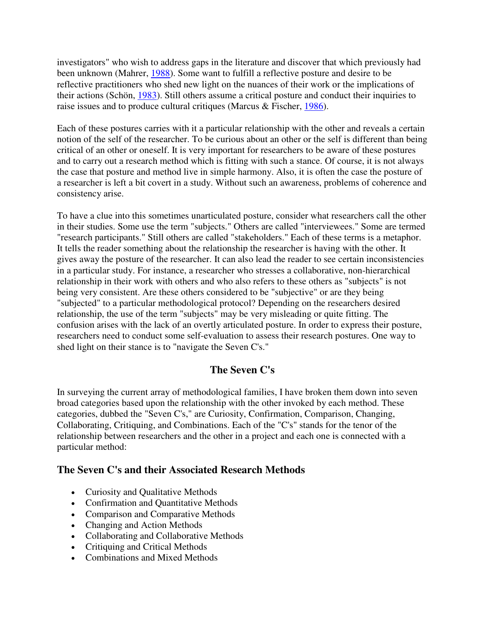investigators" who wish to address gaps in the literature and discover that which previously had been unknown (Mahrer, 1988). Some want to fulfill a reflective posture and desire to be reflective practitioners who shed new light on the nuances of their work or the implications of their actions (Schön, 1983). Still others assume a critical posture and conduct their inquiries to raise issues and to produce cultural critiques (Marcus & Fischer, 1986).

Each of these postures carries with it a particular relationship with the other and reveals a certain notion of the self of the researcher. To be curious about an other or the self is different than being critical of an other or oneself. It is very important for researchers to be aware of these postures and to carry out a research method which is fitting with such a stance. Of course, it is not always the case that posture and method live in simple harmony. Also, it is often the case the posture of a researcher is left a bit covert in a study. Without such an awareness, problems of coherence and consistency arise.

To have a clue into this sometimes unarticulated posture, consider what researchers call the other in their studies. Some use the term "subjects." Others are called "interviewees." Some are termed "research participants." Still others are called "stakeholders." Each of these terms is a metaphor. It tells the reader something about the relationship the researcher is having with the other. It gives away the posture of the researcher. It can also lead the reader to see certain inconsistencies in a particular study. For instance, a researcher who stresses a collaborative, non-hierarchical relationship in their work with others and who also refers to these others as "subjects" is not being very consistent. Are these others considered to be "subjective" or are they being "subjected" to a particular methodological protocol? Depending on the researchers desired relationship, the use of the term "subjects" may be very misleading or quite fitting. The confusion arises with the lack of an overtly articulated posture. In order to express their posture, researchers need to conduct some self-evaluation to assess their research postures. One way to shed light on their stance is to "navigate the Seven C's."

# **The Seven C's**

In surveying the current array of methodological families, I have broken them down into seven broad categories based upon the relationship with the other invoked by each method. These categories, dubbed the "Seven C's," are Curiosity, Confirmation, Comparison, Changing, Collaborating, Critiquing, and Combinations. Each of the "C's" stands for the tenor of the relationship between researchers and the other in a project and each one is connected with a particular method:

# **The Seven C's and their Associated Research Methods**

- Curiosity and Qualitative Methods
- Confirmation and Quantitative Methods
- Comparison and Comparative Methods
- Changing and Action Methods
- Collaborating and Collaborative Methods
- Critiquing and Critical Methods
- Combinations and Mixed Methods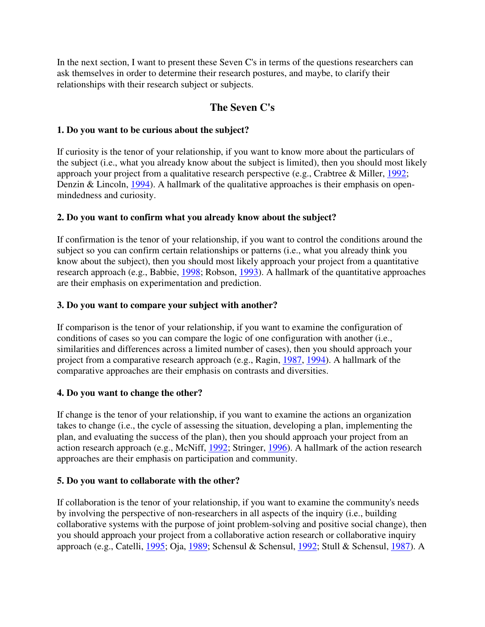In the next section, I want to present these Seven C's in terms of the questions researchers can ask themselves in order to determine their research postures, and maybe, to clarify their relationships with their research subject or subjects.

# **The Seven C's**

## **1. Do you want to be curious about the subject?**

If curiosity is the tenor of your relationship, if you want to know more about the particulars of the subject (i.e., what you already know about the subject is limited), then you should most likely approach your project from a qualitative research perspective (e.g., Crabtree & Miller, 1992; Denzin & Lincoln, 1994). A hallmark of the qualitative approaches is their emphasis on openmindedness and curiosity.

# **2. Do you want to confirm what you already know about the subject?**

If confirmation is the tenor of your relationship, if you want to control the conditions around the subject so you can confirm certain relationships or patterns (i.e., what you already think you know about the subject), then you should most likely approach your project from a quantitative research approach (e.g., Babbie, 1998; Robson, 1993). A hallmark of the quantitative approaches are their emphasis on experimentation and prediction.

## **3. Do you want to compare your subject with another?**

If comparison is the tenor of your relationship, if you want to examine the configuration of conditions of cases so you can compare the logic of one configuration with another (i.e., similarities and differences across a limited number of cases), then you should approach your project from a comparative research approach (e.g., Ragin, 1987, 1994). A hallmark of the comparative approaches are their emphasis on contrasts and diversities.

## **4. Do you want to change the other?**

If change is the tenor of your relationship, if you want to examine the actions an organization takes to change (i.e., the cycle of assessing the situation, developing a plan, implementing the plan, and evaluating the success of the plan), then you should approach your project from an action research approach (e.g., McNiff, 1992; Stringer, 1996). A hallmark of the action research approaches are their emphasis on participation and community.

# **5. Do you want to collaborate with the other?**

If collaboration is the tenor of your relationship, if you want to examine the community's needs by involving the perspective of non-researchers in all aspects of the inquiry (i.e., building collaborative systems with the purpose of joint problem-solving and positive social change), then you should approach your project from a collaborative action research or collaborative inquiry approach (e.g., Catelli, 1995; Oja, 1989; Schensul & Schensul, 1992; Stull & Schensul, 1987). A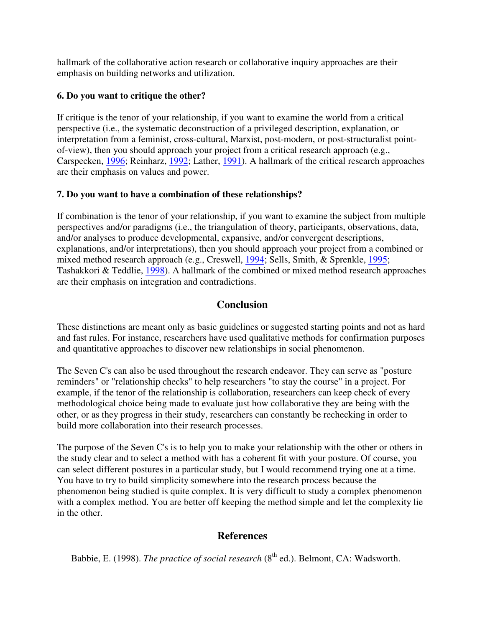hallmark of the collaborative action research or collaborative inquiry approaches are their emphasis on building networks and utilization.

## **6. Do you want to critique the other?**

If critique is the tenor of your relationship, if you want to examine the world from a critical perspective (i.e., the systematic deconstruction of a privileged description, explanation, or interpretation from a feminist, cross-cultural, Marxist, post-modern, or post-structuralist pointof-view), then you should approach your project from a critical research approach (e.g., Carspecken, 1996; Reinharz, 1992; Lather, 1991). A hallmark of the critical research approaches are their emphasis on values and power.

## **7. Do you want to have a combination of these relationships?**

If combination is the tenor of your relationship, if you want to examine the subject from multiple perspectives and/or paradigms (i.e., the triangulation of theory, participants, observations, data, and/or analyses to produce developmental, expansive, and/or convergent descriptions, explanations, and/or interpretations), then you should approach your project from a combined or mixed method research approach (e.g., Creswell, 1994; Sells, Smith, & Sprenkle, 1995; Tashakkori & Teddlie, 1998). A hallmark of the combined or mixed method research approaches are their emphasis on integration and contradictions.

# **Conclusion**

These distinctions are meant only as basic guidelines or suggested starting points and not as hard and fast rules. For instance, researchers have used qualitative methods for confirmation purposes and quantitative approaches to discover new relationships in social phenomenon.

The Seven C's can also be used throughout the research endeavor. They can serve as "posture reminders" or "relationship checks" to help researchers "to stay the course" in a project. For example, if the tenor of the relationship is collaboration, researchers can keep check of every methodological choice being made to evaluate just how collaborative they are being with the other, or as they progress in their study, researchers can constantly be rechecking in order to build more collaboration into their research processes.

The purpose of the Seven C's is to help you to make your relationship with the other or others in the study clear and to select a method with has a coherent fit with your posture. Of course, you can select different postures in a particular study, but I would recommend trying one at a time. You have to try to build simplicity somewhere into the research process because the phenomenon being studied is quite complex. It is very difficult to study a complex phenomenon with a complex method. You are better off keeping the method simple and let the complexity lie in the other.

# **References**

Babbie, E. (1998). *The practice of social research* (8<sup>th</sup> ed.). Belmont, CA: Wadsworth.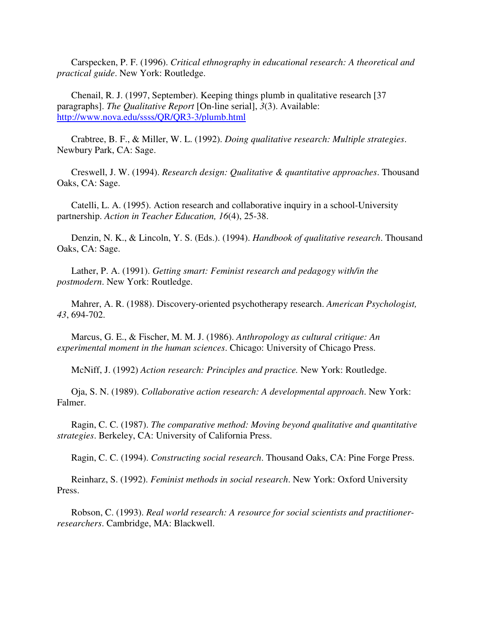Carspecken, P. F. (1996). *Critical ethnography in educational research: A theoretical and practical guide*. New York: Routledge.

 Chenail, R. J. (1997, September). Keeping things plumb in qualitative research [37 paragraphs]. *The Qualitative Report* [On-line serial], *3*(3). Available: http://www.nova.edu/ssss/QR/QR3-3/plumb.html

 Crabtree, B. F., & Miller, W. L. (1992). *Doing qualitative research: Multiple strategies*. Newbury Park, CA: Sage.

 Creswell, J. W. (1994). *Research design: Qualitative & quantitative approaches*. Thousand Oaks, CA: Sage.

 Catelli, L. A. (1995). Action research and collaborative inquiry in a school-University partnership. *Action in Teacher Education, 16*(4), 25-38.

 Denzin, N. K., & Lincoln, Y. S. (Eds.). (1994). *Handbook of qualitative research*. Thousand Oaks, CA: Sage.

 Lather, P. A. (1991). *Getting smart: Feminist research and pedagogy with/in the postmodern*. New York: Routledge.

 Mahrer, A. R. (1988). Discovery-oriented psychotherapy research. *American Psychologist, 43*, 694-702.

 Marcus, G. E., & Fischer, M. M. J. (1986). *Anthropology as cultural critique: An experimental moment in the human sciences*. Chicago: University of Chicago Press.

McNiff, J. (1992) *Action research: Principles and practice.* New York: Routledge.

 Oja, S. N. (1989). *Collaborative action research: A developmental approach*. New York: Falmer.

 Ragin, C. C. (1987). *The comparative method: Moving beyond qualitative and quantitative strategies*. Berkeley, CA: University of California Press.

Ragin, C. C. (1994). *Constructing social research*. Thousand Oaks, CA: Pine Forge Press.

 Reinharz, S. (1992). *Feminist methods in social research*. New York: Oxford University Press.

 Robson, C. (1993). *Real world research: A resource for social scientists and practitionerresearchers*. Cambridge, MA: Blackwell.